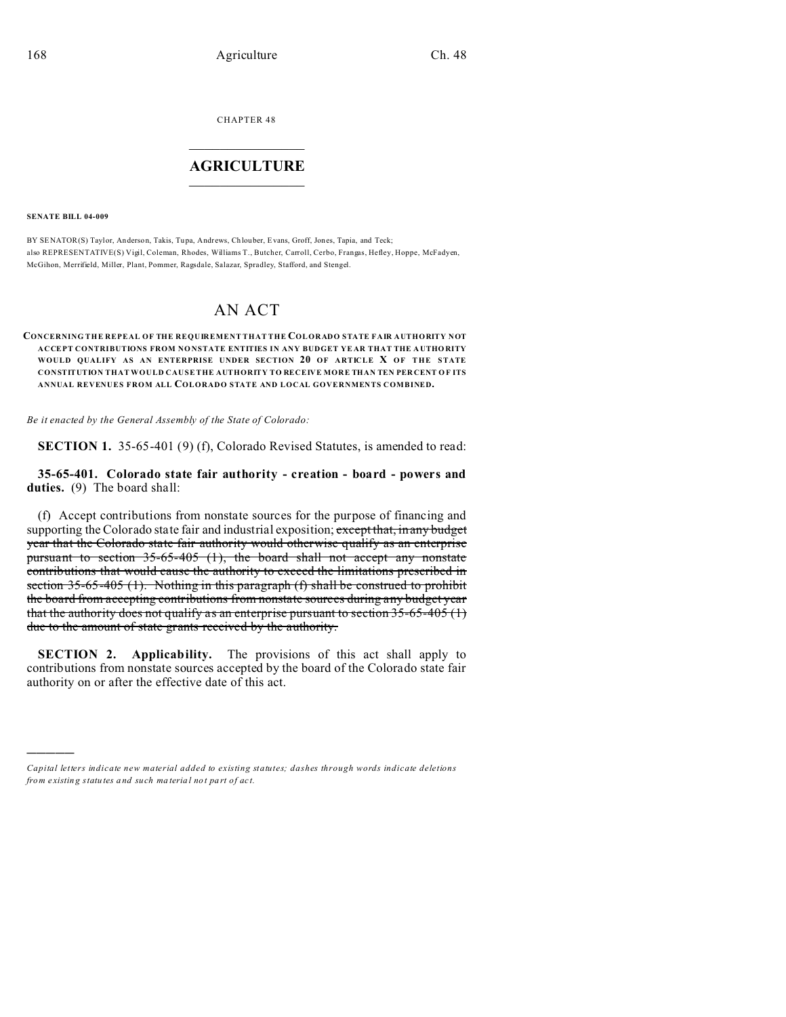CHAPTER 48  $\overline{\phantom{a}}$  , where  $\overline{\phantom{a}}$ 

## **AGRICULTURE**  $\_$   $\_$   $\_$   $\_$   $\_$   $\_$   $\_$   $\_$

**SENATE BILL 04-009**

)))))

BY SENATOR(S) Taylor, An derson, Takis, Tu pa, Andrews, Ch louber, Evans, Groff, Jones, Tapia, and Teck; also REPRESENTATIVE(S) Vigil, Coleman, Rhodes, Williams T., Butcher, Carroll, Cerbo, Frangas, Hefley, Hoppe, McFadyen, McGihon, Merrifield, Miller, Plant, Pommer, Ragsdale, Salazar, Spradley, Stafford, and Stengel.

## AN ACT

## **CONCERNING THE REPEAL OF THE REQUIREMENT THAT THE COLORADO STATE FAIR AUTHORITY NOT ACCEPT CONTRIBUTIONS FROM NO NSTATE ENTITIES IN ANY BUDGET YE AR THAT THE A UTHORITY WOULD QUALIFY AS AN ENTERPRISE UNDER SECTION 20 OF ARTICLE X OF THE STATE CONSTITUTION THAT WOULD CAUSE THE AUTHORITY TO RECEIVE MORE THAN TEN PER CENT O F ITS ANNUAL REVENUES FROM ALL COLORADO STATE AND LOCAL GOVERNMENTS COMBINED.**

*Be it enacted by the General Assembly of the State of Colorado:*

**SECTION 1.** 35-65-401 (9) (f), Colorado Revised Statutes, is amended to read:

**35-65-401. Colorado state fair authority - creation - board - powers and duties.** (9) The board shall:

(f) Accept contributions from nonstate sources for the purpose of financing and supporting the Colorado state fair and industrial exposition; except that, in any budget year that the Colorado state fair authority would otherwise qualify as an enterprise pursuant to section 35-65-405 (1), the board shall not accept any nonstate contributions that would cause the authority to exceed the limitations prescribed in section 35-65-405 (1). Nothing in this paragraph (f) shall be construed to prohibit the board from accepting contributions from nonstate sources during any budget year that the authority does not qualify as an enterprise pursuant to section  $35-65-405$  (1) due to the amount of state grants received by the authority.

**SECTION 2. Applicability.** The provisions of this act shall apply to contributions from nonstate sources accepted by the board of the Colorado state fair authority on or after the effective date of this act.

*Capital letters indicate new material added to existing statutes; dashes through words indicate deletions from e xistin g statu tes a nd such ma teria l no t pa rt of ac t.*